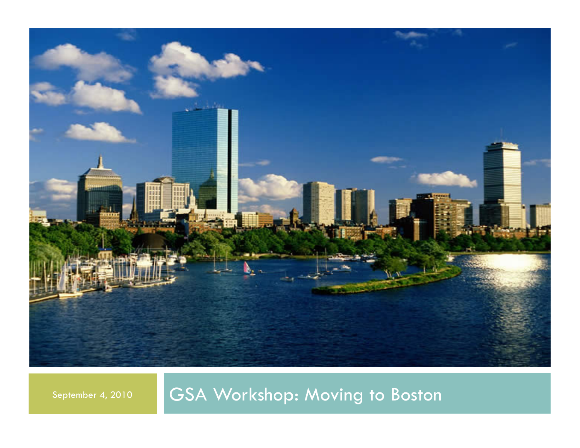

September 4, 2010 GSA Workshop: Moving to Boston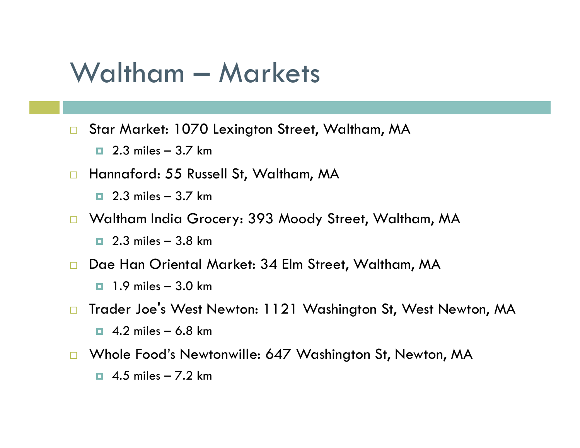## Waltham – Markets

- □ Star Market: 1070 Lexington Street, Waltham, MA
	- $\Box$  2.3 miles 3.7 km
- □ Hannaford: 55 Russell St, Waltham, MA
	- $\Box$  2.3 miles 3.7 km
- □ Waltham India Grocery: 393 Moody Street, Waltham, MA
	- $\Box$  2.3 miles 3.8 km
- Dae Han Oriental Market: 34 Elm Street, Waltham, MA
	- $\Box$  1.9 miles 3.0 km
- □ Trader Joe's West Newton: 1121 Washington St, West Newton, MA  $\Box$  4.2 miles – 6.8 km
- □ Whole Food's Newtonwille: 647 Washington St, Newton, MA
	- $\Box$  4.5 miles 7.2 km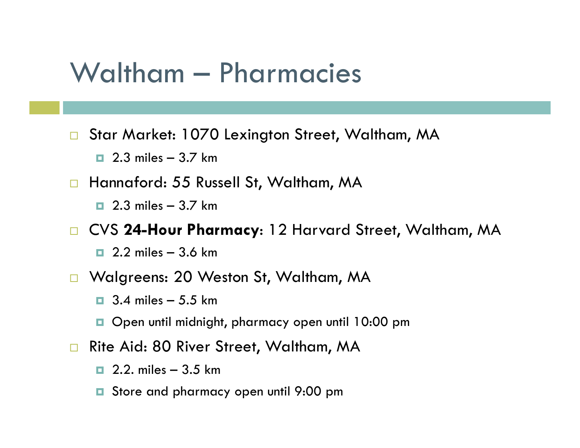## Waltham – Pharmacies

□ Star Market: 1070 Lexington Street, Waltham, MA

- $\Box$  2.3 miles 3.7 km
- Hannaford: 55 Russell St, Waltham, MA
	- $\Box$  2.3 miles 3.7 km

CVS **24-Hour Pharmacy**: 12 Harvard Street, Waltham, MA

- $\Box$  2.2 miles 3.6 km
- □ Walgreens: 20 Weston St, Waltham, MA
	- $\Box$  3.4 miles 5.5 km
	- D Open until midnight, pharmacy open until 10:00 pm
- □ Rite Aid: 80 River Street, Waltham, MA
	- $\Box$  2.2. miles 3.5 km
	- **□** Store and pharmacy open until 9:00 pm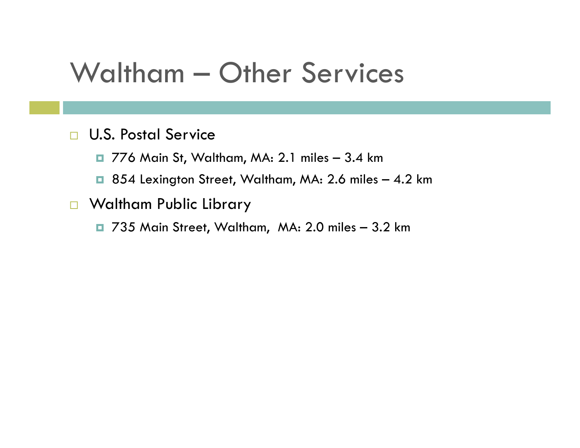## Waltham – Other Services

#### **U.S. Postal Service**

776 Main St, Waltham, MA: 2.1 miles – 3.4 km

- 854 Lexington Street, Waltham, MA: 2.6 miles 4.2 km
- **D** Waltham Public Library
	- 735 Main Street, Waltham, MA: 2.0 miles 3.2 km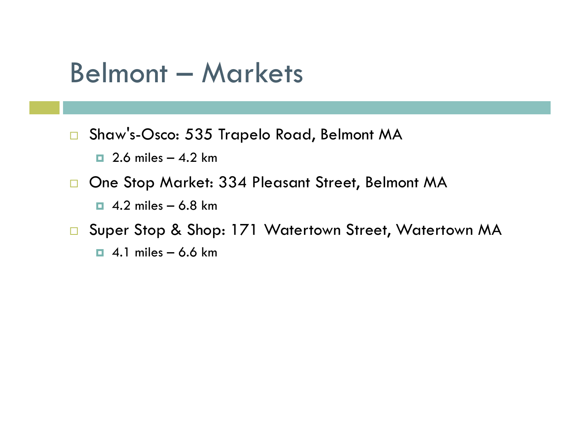## Belmont – Markets

□ Shaw's-Osco: 535 Trapelo Road, Belmont MA

 $\Box$  2.6 miles – 4.2 km

□ One Stop Market: 334 Pleasant Street, Belmont MA

 $\Box$  4.2 miles – 6.8 km

□ Super Stop & Shop: 171 Watertown Street, Watertown MA

 $\Box$  4.1 miles – 6.6 km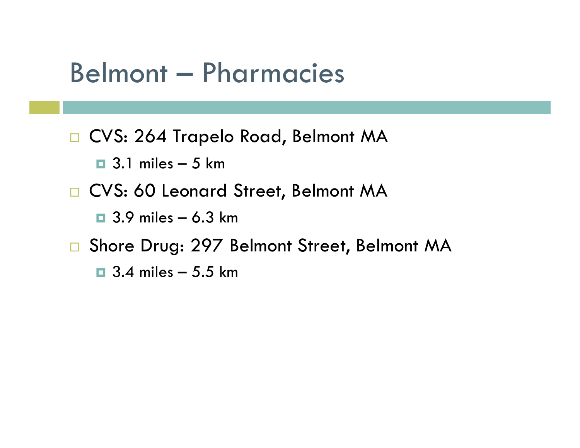## Belmont – Pharmacies

□ CVS: 264 Trapelo Road, Belmont MA

- $\Box$  3.1 miles 5 km
- □ CVS: 60 Leonard Street, Belmont MA
	- $\Box$  3.9 miles 6.3 km
- □ Shore Drug: 297 Belmont Street, Belmont MA

 $\Box$  3.4 miles – 5.5 km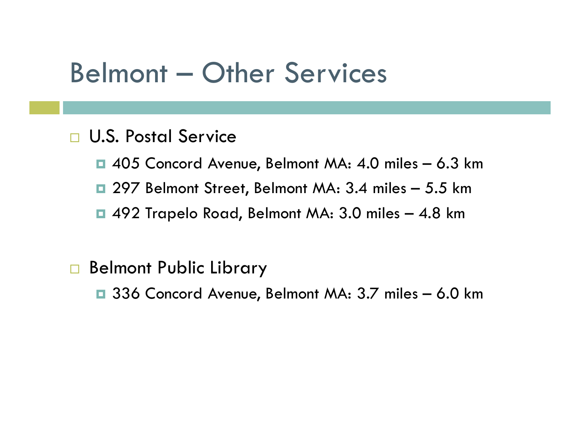## Belmont – Other Services

### **D.S. Postal Service**

- 405 Concord Avenue, Belmont MA: 4.0 miles 6.3 km
- 297 Belmont Street, Belmont MA: 3.4 miles 5.5 km
- 492 Trapelo Road, Belmont MA: 3.0 miles 4.8 km

### □ Belmont Public Library

336 Concord Avenue, Belmont MA: 3.7 miles – 6.0 km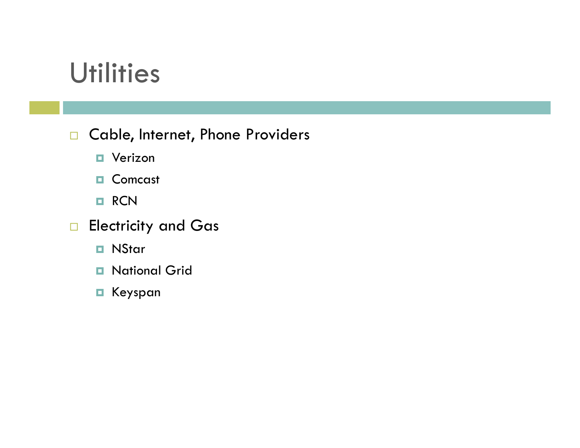# **Utilities**

### □ Cable, Internet, Phone Providers

**D** Verizon

D Comcast

**D** RCN

**Electricity and Gas** 

**D** NStar

**D** National Grid

Keyspan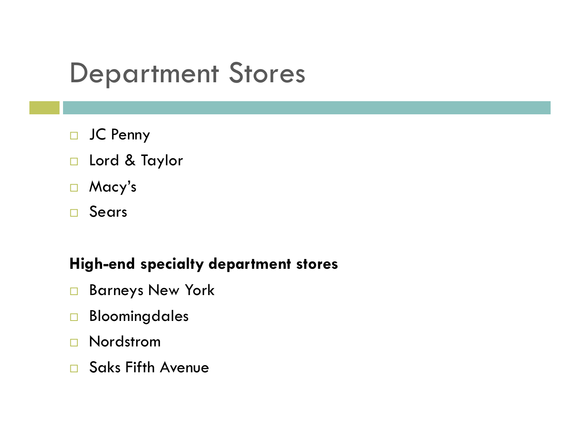# Department Stores

- □ JC Penny
- □ Lord & Taylor
- Macy's
- Sears

#### **High-end specialty department stores**

- Barneys New York
- Bloomingdales
- □ Nordstrom
- □ Saks Fifth Avenue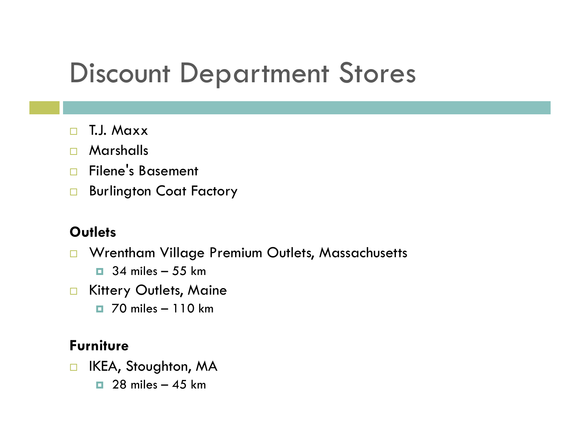# Discount Department Stores

- T.J. Maxx
- Marshalls
- □ Filene's Basement
- Burlington Coat Factory

#### **Outlets**

- **D** Wrentham Village Premium Outlets, Massachusetts
	- $\Box$  34 miles 55 km
- **E** Kittery Outlets, Maine
	- $\Box$  70 miles 110 km

#### **Furniture**

- □ IKEA, Stoughton, MA
	- $\Box$  28 miles 45 km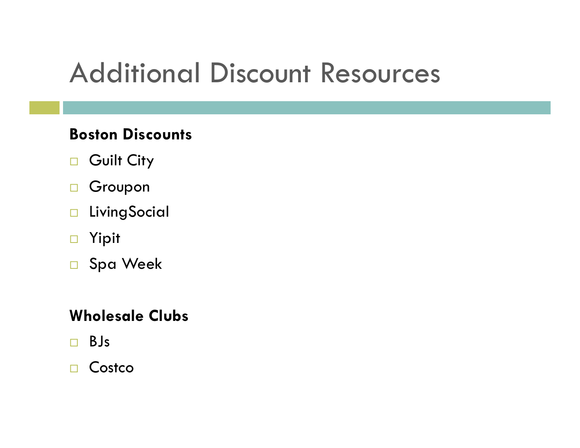# Additional Discount Resources

### **Boston Discounts**

- Guilt City
- □ Groupon
- **LivingSocial**
- Yipit
- □ Spa Week

### **Wholesale Clubs**

BJs

#### □ Costco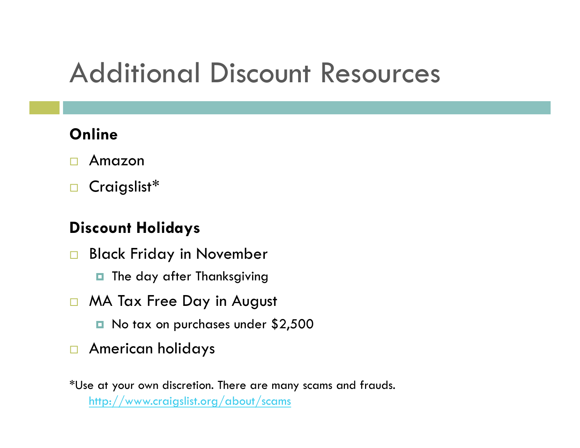# Additional Discount Resources

### **Online**

- Amazon
- □ Craigslist\*

### **Discount Holidays**

- **Black Friday in November** 
	- $\blacksquare$  The day after Thanksgiving
- MA Tax Free Day in August
	- No tax on purchases under \$2,500
- **E** American holidays

\*Use at your own discretion. There are many scams and frauds. http://www.craigslist.org/about/scams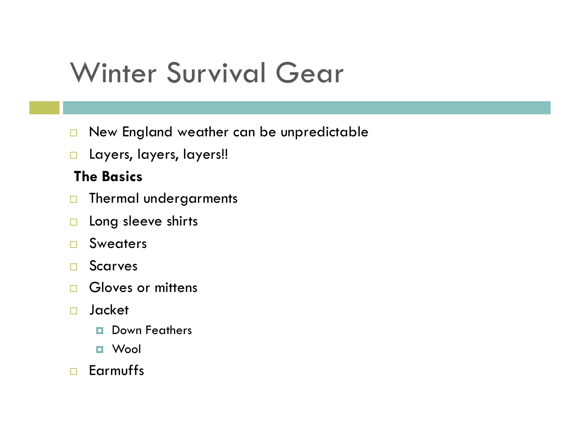# Winter Survival Gear

- New England weather can be unpredictable
- **Layers, layers, layers!!**

#### **The Basics**

- **D** Thermal undergarments
- $\Box$  Long sleeve shirts
- Sweaters
- Scarves
- $\Box$  Gloves or mittens
- Jacket
	- **D** Down Feathers
	- Wool
- Earmuffs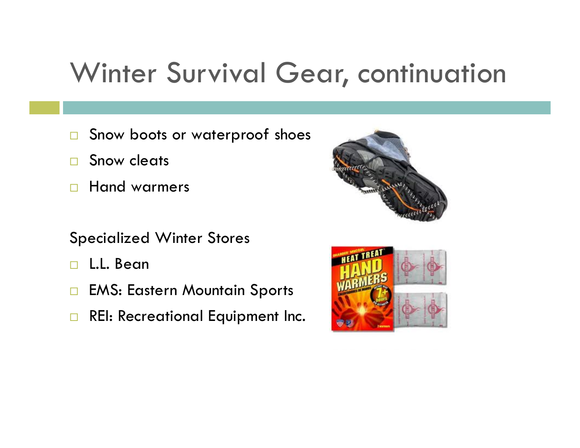# Winter Survival Gear, continuation

- □ Snow boots or waterproof shoes
- □ Snow cleats
- **Hand warmers**

#### Specialized Winter Stores

- □ L.L. Bean
- □ EMS: Eastern Mountain Sports
- **REI: Recreational Equipment Inc.**



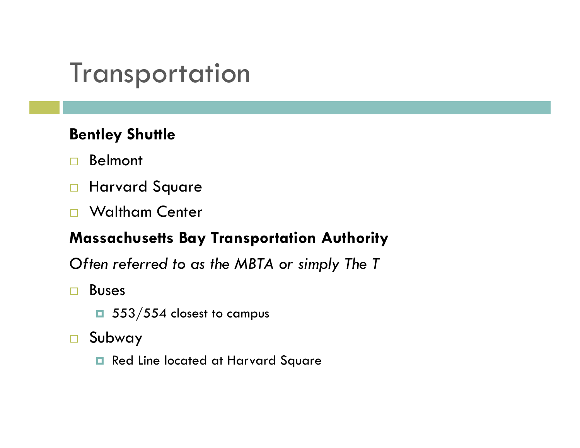# **Transportation**

### **Bentley Shuttle**

- Belmont
- **Harvard Square**
- □ Waltham Center

### **Massachusetts Bay Transportation Authority**

*Often referred to as the MBTA or simply The T*

- Buses
	- $\Box$  553/554 closest to campus
- Subway
	- Red Line located at Harvard Square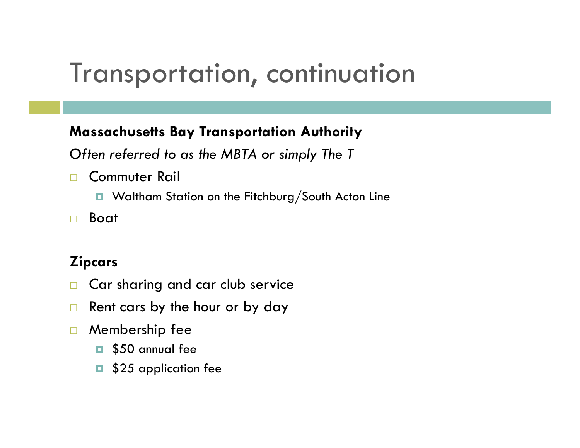## Transportation, continuation

#### **Massachusetts Bay Transportation Authority**

*Often referred to as the MBTA or simply The T*

- □ Commuter Rail
	- Waltham Station on the Fitchburg/South Acton Line
- Boat

### **Zipcars**

- □ Car sharing and car club service
- $\Box$  Rent cars by the hour or by day
- **D** Membership fee
	- **B** \$50 annual fee
	- \$25 application fee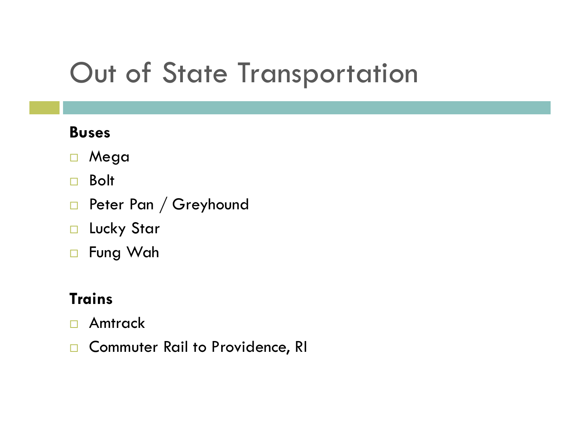# Out of State Transportation

### **Buses**

- Mega
- □ Bolt
- Peter Pan / Greyhound
- **Lucky Star**
- □ Fung Wah

### **Trains**

- Amtrack
- □ Commuter Rail to Providence, RI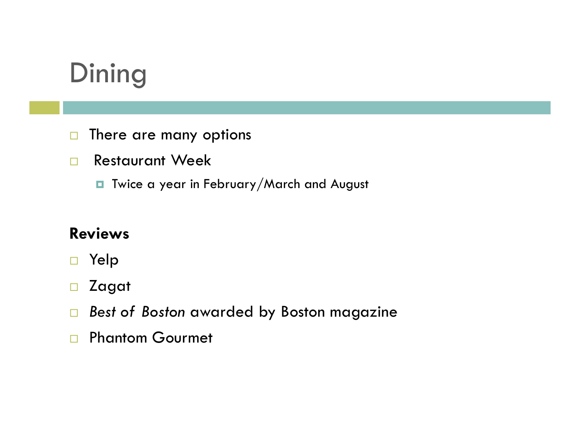# **Dining**

- $\Box$  There are many options
- **Restaurant Week** 
	- **T** Twice a year in February/March and August

### **Reviews**

- Yelp
- Zagat
- *Best of Boston* awarded by Boston magazine
- **Phantom Gourmet**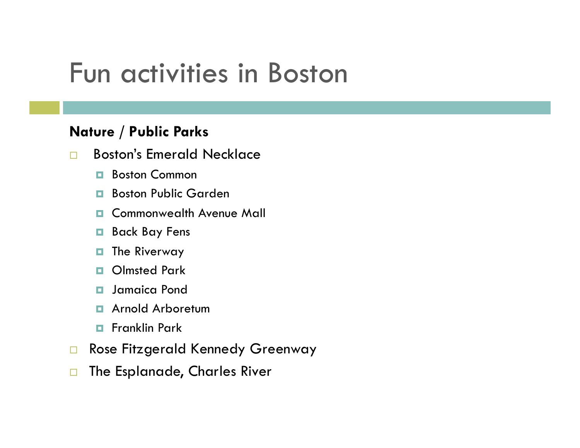## Fun activities in Boston

#### **Nature / Public Parks**

- Boston's Emerald Necklace
	- **Boston Common**
	- Boston Public Garden
	- **E** Commonwealth Avenue Mall
	- Back Bay Fens
	- $\blacksquare$  The Riverway
	- **D** Olmsted Park
	- $\blacksquare$  Jamaica Pond
	- **E** Arnold Arboretum
	- **E** Franklin Park
- □ Rose Fitzgerald Kennedy Greenway
- □ The Esplanade, Charles River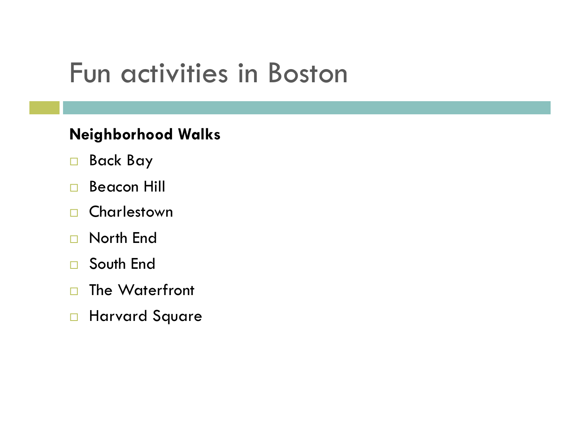## Fun activities in Boston

### **Neighborhood Walks**

- Back Bay
- □ Beacon Hill
- □ Charlestown
- □ North End
- □ South End
- □ The Waterfront
- **Harvard Square**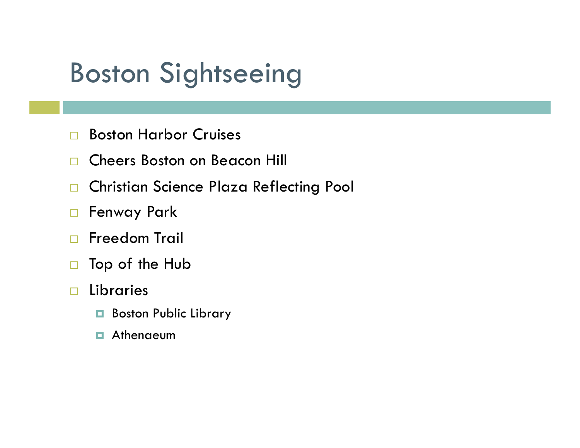# Boston Sightseeing

- □ Boston Harbor Cruises
- □ Cheers Boston on Beacon Hill
- **D** Christian Science Plaza Reflecting Pool
- □ Fenway Park
- **Freedom Trail**
- □ Top of the Hub
- Libraries
	- Boston Public Library
	- $\blacksquare$  Athenaeum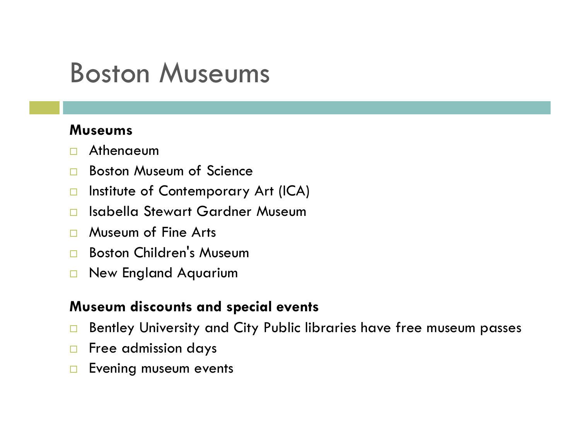## Boston Museums

#### **Museums**

- Athenaeum
- □ Boston Museum of Science
- □ Institute of Contemporary Art (ICA)
- Isabella Stewart Gardner Museum
- **D** Museum of Fine Arts
- □ Boston Children's Museum
- New England Aquarium

#### **Museum discounts and special events**

- □ Bentley University and City Public libraries have free museum passes
- $\Box$  Free admission days
- **Exening museum events**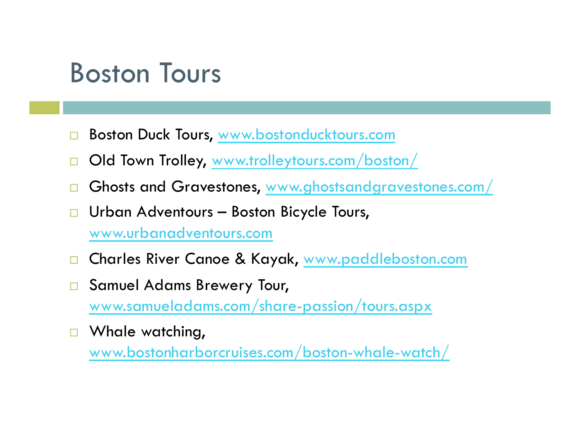## Boston Tours

- Boston Duck Tours, www.bostonducktours.com
- Old Town Trolley, www.trolleytours.com/boston/
- Ghosts and Gravestones, www.ghostsandgravestones.com/
- Urban Adventours Boston Bicycle Tours, www.urbanadventours.com
- Charles River Canoe & Kayak, www.paddleboston.com
- □ Samuel Adams Brewery Tour, www.samueladams.com/share-passion/tours.aspx
- □ Whale watching, www.bostonharborcruises.com/boston-whale-watch/